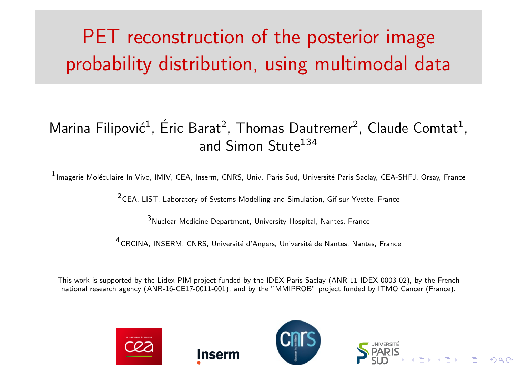# PET reconstruction of the posterior image probability distribution, using multimodal data

### Marina Filipović<sup>1</sup>, Éric Barat<sup>2</sup>, Thomas Dautremer<sup>2</sup>, Claude Comtat<sup>1</sup>, and Simon Stute<sup>134</sup>

1<sub>Imagerie Moléculaire In Vivo, IMIV, CEA, Inserm, CNRS, Univ. Paris Sud, Université Paris Saclay, CEA-SHFJ, Orsay, France</sub>

2CEA, LIST, Laboratory of Systems Modelling and Simulation, Gif-sur-Yvette, France

 $3<sub>Nuclear</sub>$  Medicine Department, University Hospital, Nantes, France

<sup>4</sup>CRCINA, INSERM, CNRS, Université d'Angers, Université de Nantes, Nantes, France

This work is supported by the Lidex-PIM project funded by the IDEX Paris-Saclay (ANR-11-IDEX-0003-02), by the French national research agency (ANR-16-CE17-0011-001), and by the "MMIPROB" project funded by ITMO Cancer (France).

nsern





 $\rightarrow$   $\rightarrow$   $\equiv$   $\rightarrow$   $\rightarrow$   $\sim$   $\sim$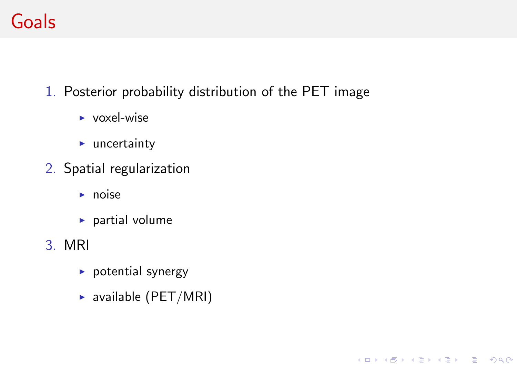## Goals

1. Posterior probability distribution of the PET image

K ロ ▶ K @ ▶ K 할 ▶ K 할 ▶ 이 할 → 9 Q Q →

- $\triangleright$  voxel-wise
- $\blacktriangleright$  uncertainty
- 2. Spatial regularization
	- $\blacktriangleright$  noise
	- $\blacktriangleright$  partial volume
- 3. MRI
	- $\blacktriangleright$  potential synergy
	- $\triangleright$  available (PET/MRI)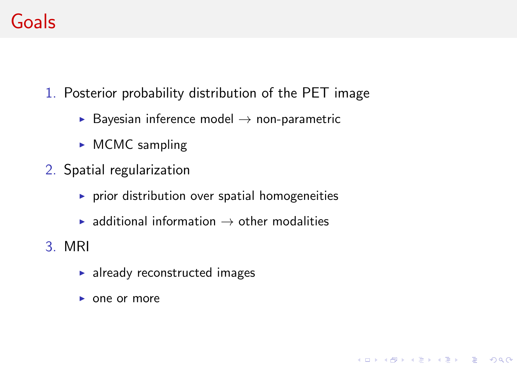## Goals

- 1. Posterior probability distribution of the PET image
	- $\triangleright$  Bayesian inference model  $\rightarrow$  non-parametric
	- $\triangleright$  MCMC sampling
- 2. Spatial regularization
	- $\blacktriangleright$  prior distribution over spatial homogeneities
	- $\triangleright$  additional information  $\rightarrow$  other modalities

K ロ ▶ K @ ▶ K 할 ▶ K 할 ▶ 이 할 → 9 Q Q →

- 3. MRI
	- $\blacktriangleright$  already reconstructed images
	- $\triangleright$  one or more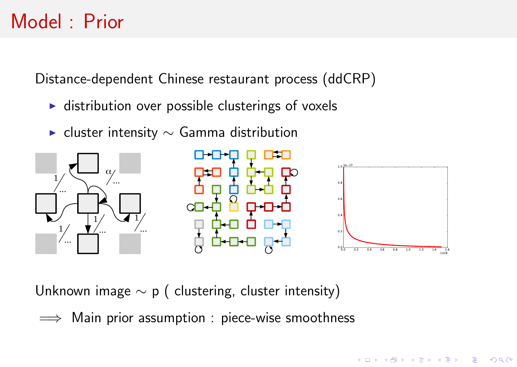### Model : Prior

Distance-dependent Chinese restaurant process (ddCRP)

- $\triangleright$  distribution over possible clusterings of voxels
- $\triangleright$  cluster intensity  $\sim$  Gamma distribution



Unknown image ∼ p ( clustering, cluster intensity)

 $\implies$  Main prior assumption : piece-wise smoothness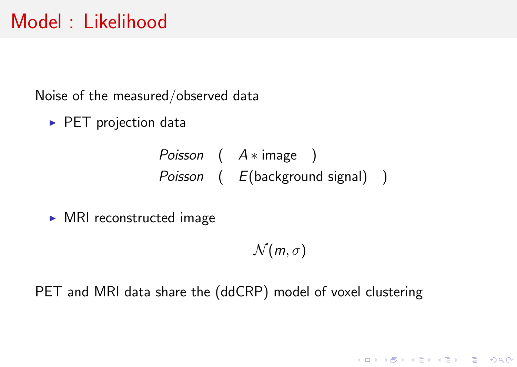### Model : Likelihood

Noise of the measured/observed data

 $\triangleright$  PET projection data

*Poisson* (  $A * image$  ) Poisson ( E(background signal) )

 $\triangleright$  MRI reconstructed image

 $\mathcal{N}(m, \sigma)$ 

K ロ ▶ K @ ▶ K 할 ▶ K 할 ▶ → 할 → 9 Q @

PET and MRI data share the (ddCRP) model of voxel clustering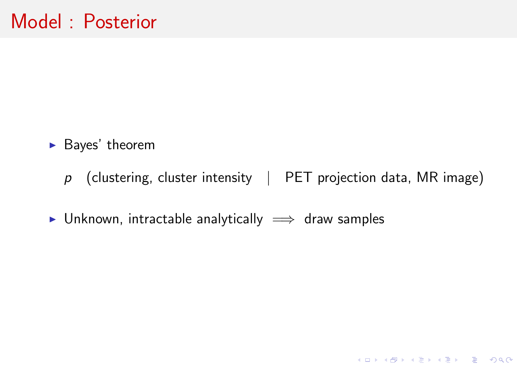- $\blacktriangleright$  Bayes' theorem
	- $p$  (clustering, cluster intensity | PET projection data, MR image)

K ロ ▶ K @ ▶ K 할 ▶ K 할 ▶ 이 할 → 9 Q Q →

 $\triangleright$  Unknown, intractable analytically  $\implies$  draw samples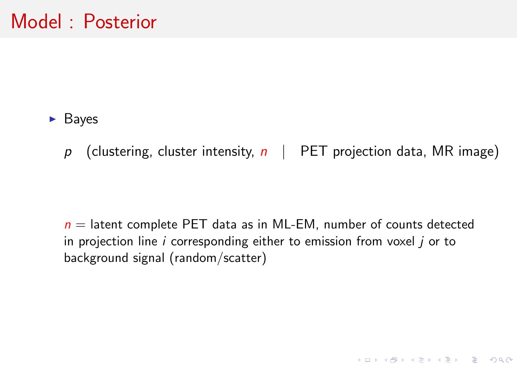#### $\blacktriangleright$  Bayes

p (clustering, cluster intensity,  $n \mid$  PET projection data, MR image)

 $n =$  latent complete PET data as in ML-EM, number of counts detected in projection line  $i$  corresponding either to emission from voxel  $i$  or to background signal (random/scatter)

K ロ ▶ K @ ▶ K 할 ▶ K 할 ▶ 이 할 → 9 Q Q →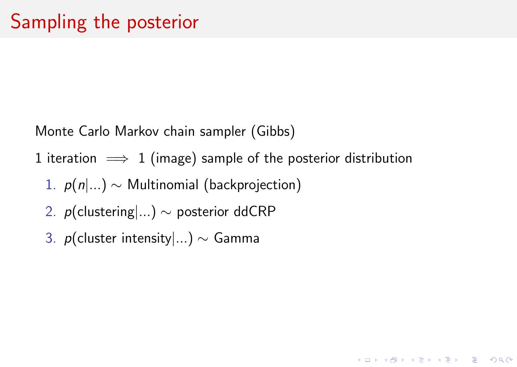Monte Carlo Markov chain sampler (Gibbs)

1 iteration  $\implies$  1 (image) sample of the posterior distribution

**KORKARYKERKER PROGRAM** 

- 1.  $p(n|...)\sim$  Multinomial (backprojection)
- 2. *p*(clustering|...) ∼ posterior ddCRP
- 3. p(cluster intensity|...) ∼ Gamma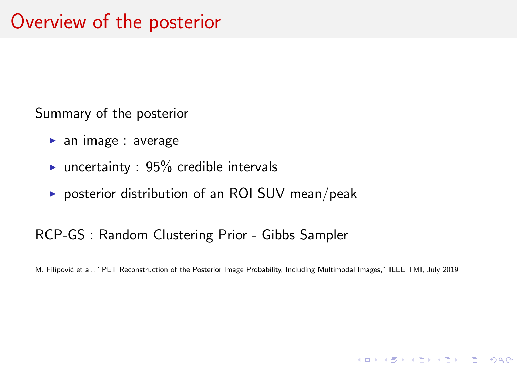Summary of the posterior

- $\blacktriangleright$  an image : average
- uncertainty :  $95\%$  credible intervals
- posterior distribution of an ROI SUV mean/peak

#### RCP-GS : Random Clustering Prior - Gibbs Sampler

M. Filipović et al., "PET Reconstruction of the Posterior Image Probability, Including Multimodal Images," IEEE TMI, July 2019

**KORKAR KERKER DE VOOR**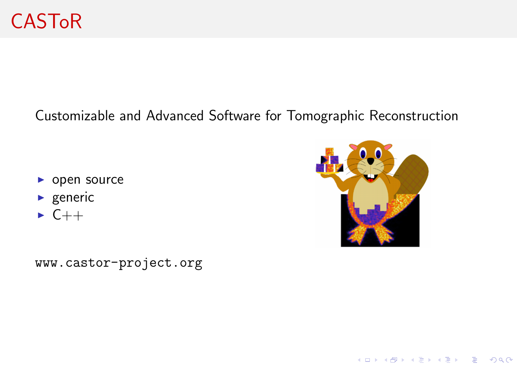#### Customizable and Advanced Software for Tomographic Reconstruction

- $\triangleright$  open source
- $\blacktriangleright$  generic
- $\triangleright$  C++

K ロ ▶ K @ ▶ K 할 ▶ K 할 ▶ → 할 → 9 Q @

<www.castor-project.org>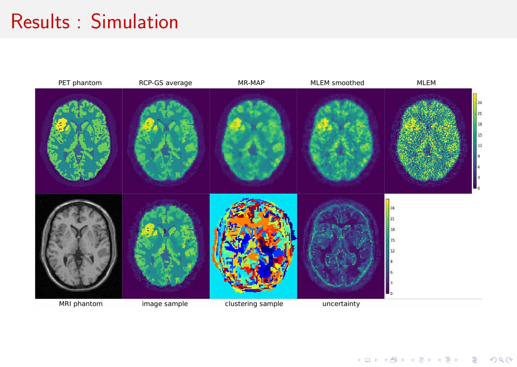### Results : Simulation



イロトメ 伊 トメミトメミト ニミー つんぴ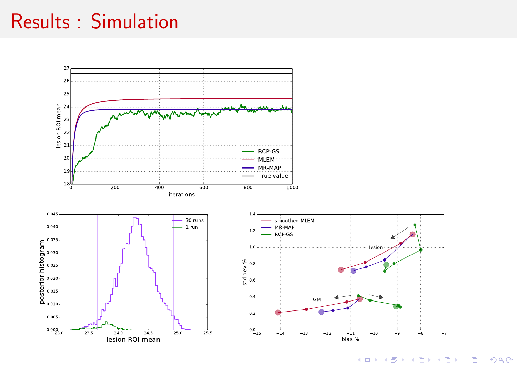### Results : Simulation

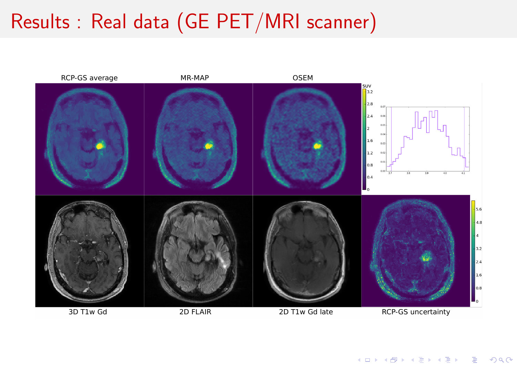# Results : Real data (GE PET/MRI scanner)

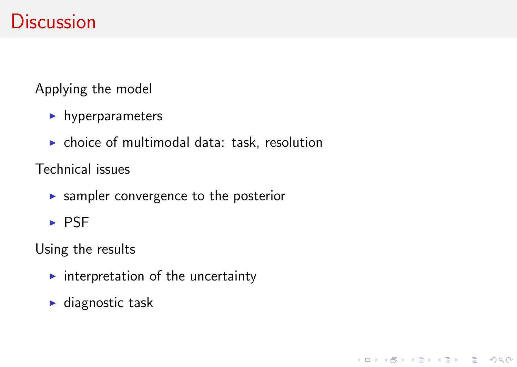### **Discussion**

Applying the model

- $\blacktriangleright$  hyperparameters
- $\triangleright$  choice of multimodal data: task, resolution

K ロ ▶ K @ ▶ K 할 ▶ K 할 ▶ 이 할 → 9 Q Q →

Technical issues

- $\triangleright$  sampler convergence to the posterior
- $\triangleright$  PSF

Using the results

- $\blacktriangleright$  interpretation of the uncertainty
- $\blacktriangleright$  diagnostic task